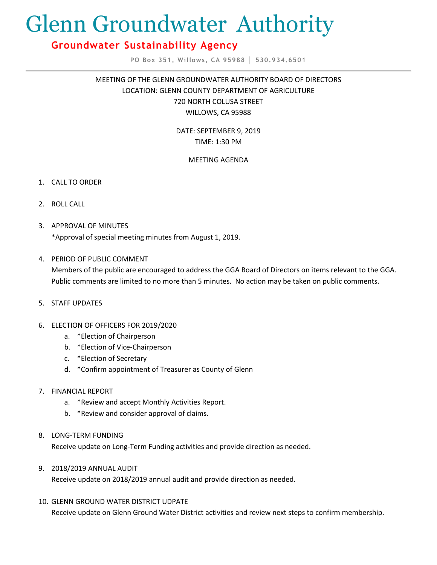# Glenn Groundwater Authority

# **Groundwater Sustainability Agency**

**PO Box 351, Willows, CA 95988 │ 530.934.6501**

MEETING OF THE GLENN GROUNDWATER AUTHORITY BOARD OF DIRECTORS LOCATION: GLENN COUNTY DEPARTMENT OF AGRICULTURE 720 NORTH COLUSA STREET WILLOWS, CA 95988

> DATE: SEPTEMBER 9, 2019 TIME: 1:30 PM

# MEETING AGENDA

- 1. CALL TO ORDER
- 2. ROLL CALL
- 3. APPROVAL OF MINUTES \*Approval of special meeting minutes from August 1, 2019.
- 4. PERIOD OF PUBLIC COMMENT

Members of the public are encouraged to address the GGA Board of Directors on items relevant to the GGA. Public comments are limited to no more than 5 minutes. No action may be taken on public comments.

- 5. STAFF UPDATES
- 6. ELECTION OF OFFICERS FOR 2019/2020
	- a. \*Election of Chairperson
	- b. \*Election of Vice-Chairperson
	- c. \*Election of Secretary
	- d. \*Confirm appointment of Treasurer as County of Glenn
- 7. FINANCIAL REPORT
	- a. \*Review and accept Monthly Activities Report.
	- b. \*Review and consider approval of claims.
- 8. LONG-TERM FUNDING

Receive update on Long-Term Funding activities and provide direction as needed.

9. 2018/2019 ANNUAL AUDIT

Receive update on 2018/2019 annual audit and provide direction as needed.

10. GLENN GROUND WATER DISTRICT UDPATE

Receive update on Glenn Ground Water District activities and review next steps to confirm membership.